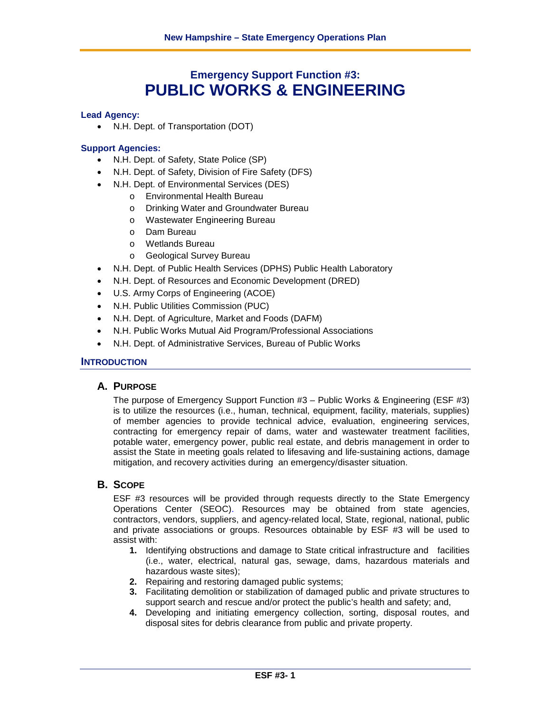# **Emergency Support Function #3: PUBLIC WORKS & ENGINEERING**

#### **Lead Agency:**

• N.H. Dept. of Transportation (DOT)

## **Support Agencies:**

- N.H. Dept. of Safety, State Police (SP)
- N.H. Dept. of Safety, Division of Fire Safety (DFS)
- N.H. Dept. of Environmental Services (DES)
	- o Environmental Health Bureau
	- o Drinking Water and Groundwater Bureau
	- o Wastewater Engineering Bureau
	- o Dam Bureau
	- o Wetlands Bureau
	- o Geological Survey Bureau
- N.H. Dept. of Public Health Services (DPHS) Public Health Laboratory
- N.H. Dept. of Resources and Economic Development (DRED)
- U.S. Army Corps of Engineering (ACOE)
- N.H. Public Utilities Commission (PUC)
- N.H. Dept. of Agriculture, Market and Foods (DAFM)
- N.H. Public Works Mutual Aid Program/Professional Associations
- N.H. Dept. of Administrative Services, Bureau of Public Works

## **INTRODUCTION**

## **A. PURPOSE**

The purpose of Emergency Support Function #3 – Public Works & Engineering (ESF #3) is to utilize the resources (i.e., human, technical, equipment, facility, materials, supplies) of member agencies to provide technical advice, evaluation, engineering services, contracting for emergency repair of dams, water and wastewater treatment facilities, potable water, emergency power, public real estate, and debris management in order to assist the State in meeting goals related to lifesaving and life-sustaining actions, damage mitigation, and recovery activities during an emergency/disaster situation.

## **B. SCOPE**

ESF #3 resources will be provided through requests directly to the State Emergency Operations Center (SEOC). Resources may be obtained from state agencies, contractors, vendors, suppliers, and agency-related local, State, regional, national, public and private associations or groups. Resources obtainable by ESF #3 will be used to assist with:

- **1.** Identifying obstructions and damage to State critical infrastructure and facilities (i.e., water, electrical, natural gas, sewage, dams, hazardous materials and hazardous waste sites);
- **2.** Repairing and restoring damaged public systems;
- **3.** Facilitating demolition or stabilization of damaged public and private structures to support search and rescue and/or protect the public's health and safety; and,
- **4.** Developing and initiating emergency collection, sorting, disposal routes, and disposal sites for debris clearance from public and private property.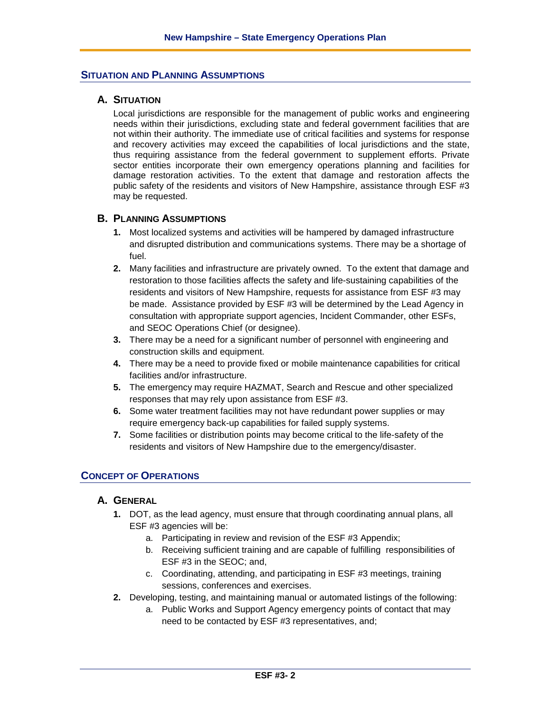## **SITUATION AND PLANNING ASSUMPTIONS**

## **A. SITUATION**

Local jurisdictions are responsible for the management of public works and engineering needs within their jurisdictions, excluding state and federal government facilities that are not within their authority. The immediate use of critical facilities and systems for response and recovery activities may exceed the capabilities of local jurisdictions and the state, thus requiring assistance from the federal government to supplement efforts. Private sector entities incorporate their own emergency operations planning and facilities for damage restoration activities. To the extent that damage and restoration affects the public safety of the residents and visitors of New Hampshire, assistance through ESF #3 may be requested.

## **B. PLANNING ASSUMPTIONS**

- **1.** Most localized systems and activities will be hampered by damaged infrastructure and disrupted distribution and communications systems. There may be a shortage of fuel.
- **2.** Many facilities and infrastructure are privately owned. To the extent that damage and restoration to those facilities affects the safety and life-sustaining capabilities of the residents and visitors of New Hampshire, requests for assistance from ESF #3 may be made. Assistance provided by ESF #3 will be determined by the Lead Agency in consultation with appropriate support agencies, Incident Commander, other ESFs, and SEOC Operations Chief (or designee).
- **3.** There may be a need for a significant number of personnel with engineering and construction skills and equipment.
- **4.** There may be a need to provide fixed or mobile maintenance capabilities for critical facilities and/or infrastructure.
- **5.** The emergency may require HAZMAT, Search and Rescue and other specialized responses that may rely upon assistance from ESF #3.
- **6.** Some water treatment facilities may not have redundant power supplies or may require emergency back-up capabilities for failed supply systems.
- **7.** Some facilities or distribution points may become critical to the life-safety of the residents and visitors of New Hampshire due to the emergency/disaster.

## **CONCEPT OF OPERATIONS**

#### **A. GENERAL**

- **1.** DOT, as the lead agency, must ensure that through coordinating annual plans, all ESF #3 agencies will be:
	- a. Participating in review and revision of the ESF #3 Appendix;
	- b. Receiving sufficient training and are capable of fulfilling responsibilities of ESF #3 in the SEOC; and,
	- c. Coordinating, attending, and participating in ESF #3 meetings, training sessions, conferences and exercises.
- **2.** Developing, testing, and maintaining manual or automated listings of the following:
	- a. Public Works and Support Agency emergency points of contact that may need to be contacted by ESF #3 representatives, and;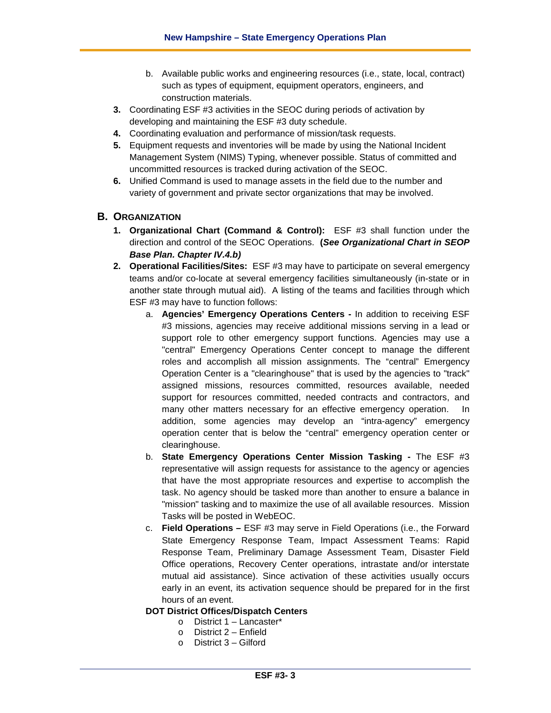- b. Available public works and engineering resources (i.e., state, local, contract) such as types of equipment, equipment operators, engineers, and construction materials.
- **3.** Coordinating ESF #3 activities in the SEOC during periods of activation by developing and maintaining the ESF #3 duty schedule.
- **4.** Coordinating evaluation and performance of mission/task requests.
- **5.** Equipment requests and inventories will be made by using the National Incident Management System (NIMS) Typing, whenever possible. Status of committed and uncommitted resources is tracked during activation of the SEOC.
- **6.** Unified Command is used to manage assets in the field due to the number and variety of government and private sector organizations that may be involved.

## **B. ORGANIZATION**

- **1. Organizational Chart (Command & Control):** ESF #3 shall function under the direction and control of the SEOC Operations. **(***See Organizational Chart in SEOP Base Plan. Chapter IV.4.b)*
- **2. Operational Facilities/Sites:** ESF #3 may have to participate on several emergency teams and/or co-locate at several emergency facilities simultaneously (in-state or in another state through mutual aid). A listing of the teams and facilities through which ESF #3 may have to function follows:
	- a. **Agencies' Emergency Operations Centers -** In addition to receiving ESF #3 missions, agencies may receive additional missions serving in a lead or support role to other emergency support functions. Agencies may use a "central" Emergency Operations Center concept to manage the different roles and accomplish all mission assignments. The "central" Emergency Operation Center is a "clearinghouse" that is used by the agencies to "track" assigned missions, resources committed, resources available, needed support for resources committed, needed contracts and contractors, and many other matters necessary for an effective emergency operation. In addition, some agencies may develop an "intra-agency" emergency operation center that is below the "central" emergency operation center or clearinghouse.
	- b. **State Emergency Operations Center Mission Tasking -** The ESF #3 representative will assign requests for assistance to the agency or agencies that have the most appropriate resources and expertise to accomplish the task. No agency should be tasked more than another to ensure a balance in "mission" tasking and to maximize the use of all available resources. Mission Tasks will be posted in WebEOC.
	- c. **Field Operations –** ESF #3 may serve in Field Operations (i.e., the Forward State Emergency Response Team, Impact Assessment Teams: Rapid Response Team, Preliminary Damage Assessment Team, Disaster Field Office operations, Recovery Center operations, intrastate and/or interstate mutual aid assistance). Since activation of these activities usually occurs early in an event, its activation sequence should be prepared for in the first hours of an event.

#### **DOT District Offices/Dispatch Centers**

- o District 1 Lancaster\*
- o District 2 Enfield
- o District 3 Gilford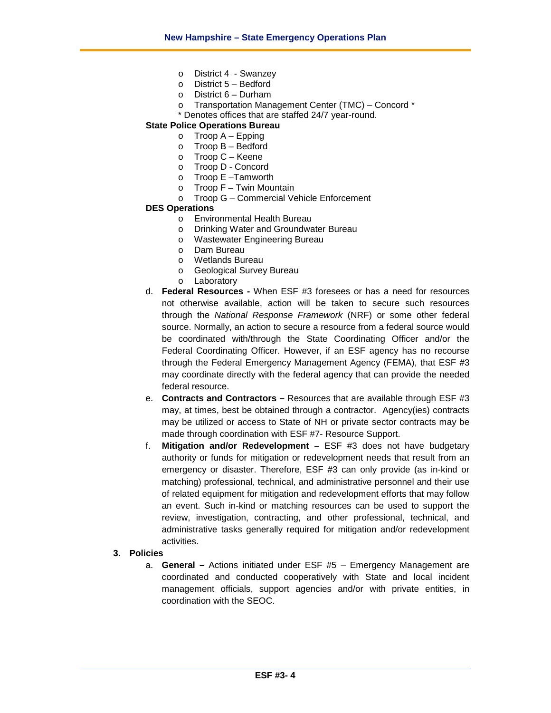- o District 4 Swanzey
- o District 5 Bedford
- o District 6 Durham
- o Transportation Management Center (TMC) Concord \*

\* Denotes offices that are staffed 24/7 year-round.

#### **State Police Operations Bureau**

- $\circ$  Troop A Epping
- o Troop B Bedford
- o Troop C Keene
- o Troop D Concord
- o Troop E –Tamworth
- o Troop F Twin Mountain
- o Troop G Commercial Vehicle Enforcement

#### **DES Operations**

- o Environmental Health Bureau
- o Drinking Water and Groundwater Bureau
- o Wastewater Engineering Bureau
- o Dam Bureau
- o Wetlands Bureau
- o Geological Survey Bureau
- o Laboratory
- d. **Federal Resources -** When ESF #3 foresees or has a need for resources not otherwise available, action will be taken to secure such resources through the *National Response Framework* (NRF) or some other federal source. Normally, an action to secure a resource from a federal source would be coordinated with/through the State Coordinating Officer and/or the Federal Coordinating Officer. However, if an ESF agency has no recourse through the Federal Emergency Management Agency (FEMA), that ESF #3 may coordinate directly with the federal agency that can provide the needed federal resource.
- e. **Contracts and Contractors –** Resources that are available through ESF #3 may, at times, best be obtained through a contractor. Agency(ies) contracts may be utilized or access to State of NH or private sector contracts may be made through coordination with ESF #7- Resource Support.
- f. **Mitigation and/or Redevelopment –** ESF #3 does not have budgetary authority or funds for mitigation or redevelopment needs that result from an emergency or disaster. Therefore, ESF #3 can only provide (as in-kind or matching) professional, technical, and administrative personnel and their use of related equipment for mitigation and redevelopment efforts that may follow an event. Such in-kind or matching resources can be used to support the review, investigation, contracting, and other professional, technical, and administrative tasks generally required for mitigation and/or redevelopment activities.

#### **3. Policies**

a. **General –** Actions initiated under ESF #5 – Emergency Management are coordinated and conducted cooperatively with State and local incident management officials, support agencies and/or with private entities, in coordination with the SEOC.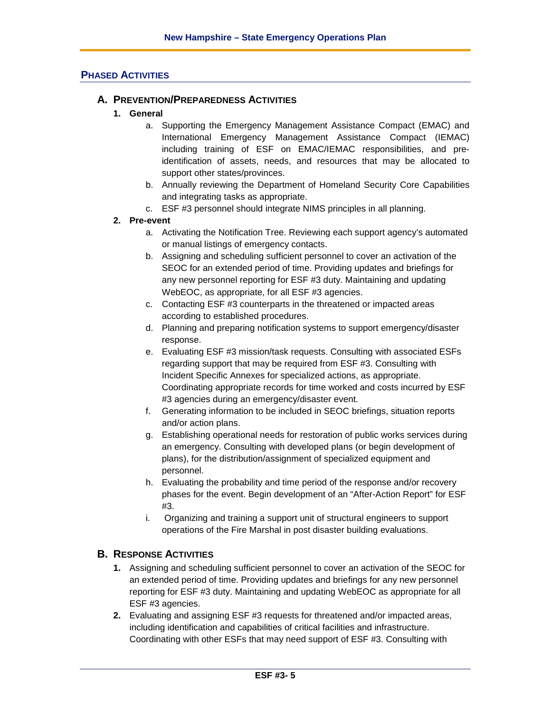## **PHASED ACTIVITIES**

## **A. PREVENTION/PREPAREDNESS ACTIVITIES**

#### **1. General**

- a. Supporting the Emergency Management Assistance Compact (EMAC) and International Emergency Management Assistance Compact (IEMAC) including training of ESF on EMAC/IEMAC responsibilities, and preidentification of assets, needs, and resources that may be allocated to support other states/provinces.
- b. Annually reviewing the Department of Homeland Security Core Capabilities and integrating tasks as appropriate.
- c. ESF #3 personnel should integrate NIMS principles in all planning.

#### **2. Pre-event**

- a. Activating the Notification Tree. Reviewing each support agency's automated or manual listings of emergency contacts.
- b. Assigning and scheduling sufficient personnel to cover an activation of the SEOC for an extended period of time. Providing updates and briefings for any new personnel reporting for ESF #3 duty. Maintaining and updating WebEOC, as appropriate, for all ESF #3 agencies.
- c. Contacting ESF #3 counterparts in the threatened or impacted areas according to established procedures.
- d. Planning and preparing notification systems to support emergency/disaster response.
- e. Evaluating ESF #3 mission/task requests. Consulting with associated ESFs regarding support that may be required from ESF #3. Consulting with Incident Specific Annexes for specialized actions, as appropriate. Coordinating appropriate records for time worked and costs incurred by ESF #3 agencies during an emergency/disaster event.
- f. Generating information to be included in SEOC briefings, situation reports and/or action plans.
- g. Establishing operational needs for restoration of public works services during an emergency. Consulting with developed plans (or begin development of plans), for the distribution/assignment of specialized equipment and personnel.
- h. Evaluating the probability and time period of the response and/or recovery phases for the event. Begin development of an "After-Action Report" for ESF #3.
- i. Organizing and training a support unit of structural engineers to support operations of the Fire Marshal in post disaster building evaluations.

## **B. RESPONSE ACTIVITIES**

- **1.** Assigning and scheduling sufficient personnel to cover an activation of the SEOC for an extended period of time. Providing updates and briefings for any new personnel reporting for ESF #3 duty. Maintaining and updating WebEOC as appropriate for all ESF #3 agencies.
- **2.** Evaluating and assigning ESF #3 requests for threatened and/or impacted areas, including identification and capabilities of critical facilities and infrastructure. Coordinating with other ESFs that may need support of ESF #3. Consulting with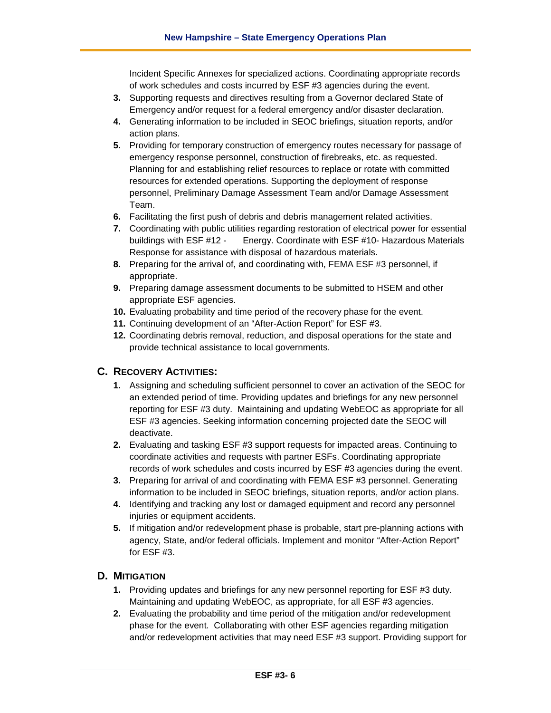Incident Specific Annexes for specialized actions. Coordinating appropriate records of work schedules and costs incurred by ESF #3 agencies during the event.

- **3.** Supporting requests and directives resulting from a Governor declared State of Emergency and/or request for a federal emergency and/or disaster declaration.
- **4.** Generating information to be included in SEOC briefings, situation reports, and/or action plans.
- **5.** Providing for temporary construction of emergency routes necessary for passage of emergency response personnel, construction of firebreaks, etc. as requested. Planning for and establishing relief resources to replace or rotate with committed resources for extended operations. Supporting the deployment of response personnel, Preliminary Damage Assessment Team and/or Damage Assessment Team.
- **6.** Facilitating the first push of debris and debris management related activities.
- **7.** Coordinating with public utilities regarding restoration of electrical power for essential buildings with ESF #12 - Energy. Coordinate with ESF #10- Hazardous Materials Response for assistance with disposal of hazardous materials.
- **8.** Preparing for the arrival of, and coordinating with, FEMA ESF #3 personnel, if appropriate.
- **9.** Preparing damage assessment documents to be submitted to HSEM and other appropriate ESF agencies.
- **10.** Evaluating probability and time period of the recovery phase for the event.
- **11.** Continuing development of an "After-Action Report" for ESF #3.
- **12.** Coordinating debris removal, reduction, and disposal operations for the state and provide technical assistance to local governments.

## **C. RECOVERY ACTIVITIES:**

- **1.** Assigning and scheduling sufficient personnel to cover an activation of the SEOC for an extended period of time. Providing updates and briefings for any new personnel reporting for ESF #3 duty. Maintaining and updating WebEOC as appropriate for all ESF #3 agencies. Seeking information concerning projected date the SEOC will deactivate.
- **2.** Evaluating and tasking ESF #3 support requests for impacted areas. Continuing to coordinate activities and requests with partner ESFs. Coordinating appropriate records of work schedules and costs incurred by ESF #3 agencies during the event.
- **3.** Preparing for arrival of and coordinating with FEMA ESF #3 personnel. Generating information to be included in SEOC briefings, situation reports, and/or action plans.
- **4.** Identifying and tracking any lost or damaged equipment and record any personnel injuries or equipment accidents.
- **5.** If mitigation and/or redevelopment phase is probable, start pre-planning actions with agency, State, and/or federal officials. Implement and monitor "After-Action Report" for ESF #3.

## **D. MITIGATION**

- **1.** Providing updates and briefings for any new personnel reporting for ESF #3 duty. Maintaining and updating WebEOC, as appropriate, for all ESF #3 agencies.
- **2.** Evaluating the probability and time period of the mitigation and/or redevelopment phase for the event. Collaborating with other ESF agencies regarding mitigation and/or redevelopment activities that may need ESF #3 support. Providing support for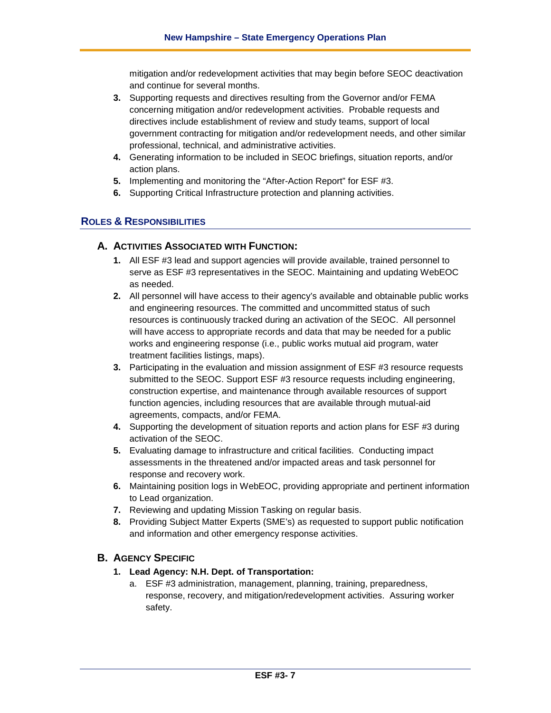mitigation and/or redevelopment activities that may begin before SEOC deactivation and continue for several months.

- **3.** Supporting requests and directives resulting from the Governor and/or FEMA concerning mitigation and/or redevelopment activities. Probable requests and directives include establishment of review and study teams, support of local government contracting for mitigation and/or redevelopment needs, and other similar professional, technical, and administrative activities.
- **4.** Generating information to be included in SEOC briefings, situation reports, and/or action plans.
- **5.** Implementing and monitoring the "After-Action Report" for ESF #3.
- **6.** Supporting Critical Infrastructure protection and planning activities.

## **ROLES & RESPONSIBILITIES**

## **A. ACTIVITIES ASSOCIATED WITH FUNCTION:**

- **1.** All ESF #3 lead and support agencies will provide available, trained personnel to serve as ESF #3 representatives in the SEOC. Maintaining and updating WebEOC as needed.
- **2.** All personnel will have access to their agency's available and obtainable public works and engineering resources. The committed and uncommitted status of such resources is continuously tracked during an activation of the SEOC. All personnel will have access to appropriate records and data that may be needed for a public works and engineering response (i.e., public works mutual aid program, water treatment facilities listings, maps).
- **3.** Participating in the evaluation and mission assignment of ESF #3 resource requests submitted to the SEOC. Support ESF #3 resource requests including engineering, construction expertise, and maintenance through available resources of support function agencies, including resources that are available through mutual-aid agreements, compacts, and/or FEMA.
- **4.** Supporting the development of situation reports and action plans for ESF #3 during activation of the SEOC.
- **5.** Evaluating damage to infrastructure and critical facilities. Conducting impact assessments in the threatened and/or impacted areas and task personnel for response and recovery work.
- **6.** Maintaining position logs in WebEOC, providing appropriate and pertinent information to Lead organization.
- **7.** Reviewing and updating Mission Tasking on regular basis.
- **8.** Providing Subject Matter Experts (SME's) as requested to support public notification and information and other emergency response activities.

## **B. AGENCY SPECIFIC**

- **1. Lead Agency: N.H. Dept. of Transportation:**
	- a. ESF #3 administration, management, planning, training, preparedness, response, recovery, and mitigation/redevelopment activities. Assuring worker safety.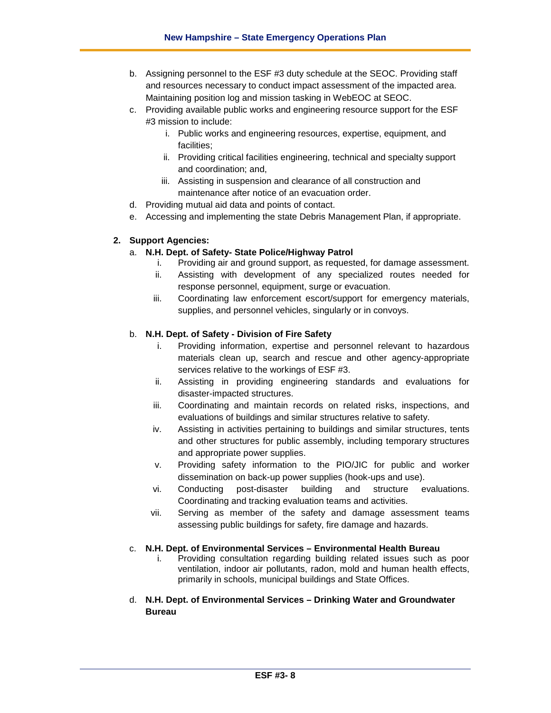- b. Assigning personnel to the ESF #3 duty schedule at the SEOC. Providing staff and resources necessary to conduct impact assessment of the impacted area. Maintaining position log and mission tasking in WebEOC at SEOC.
- c. Providing available public works and engineering resource support for the ESF #3 mission to include:
	- i. Public works and engineering resources, expertise, equipment, and facilities;
	- ii. Providing critical facilities engineering, technical and specialty support and coordination; and,
	- iii. Assisting in suspension and clearance of all construction and maintenance after notice of an evacuation order.
- d. Providing mutual aid data and points of contact.
- e. Accessing and implementing the state Debris Management Plan, if appropriate.

## **2. Support Agencies:**

## a. **N.H. Dept. of Safety- State Police/Highway Patrol**

- i. Providing air and ground support, as requested, for damage assessment.
- ii. Assisting with development of any specialized routes needed for response personnel, equipment, surge or evacuation.
- iii. Coordinating law enforcement escort/support for emergency materials, supplies, and personnel vehicles, singularly or in convoys.

## b. **N.H. Dept. of Safety - Division of Fire Safety**

- i. Providing information, expertise and personnel relevant to hazardous materials clean up, search and rescue and other agency-appropriate services relative to the workings of ESF #3.
- ii. Assisting in providing engineering standards and evaluations for disaster-impacted structures.
- iii. Coordinating and maintain records on related risks, inspections, and evaluations of buildings and similar structures relative to safety.
- iv. Assisting in activities pertaining to buildings and similar structures, tents and other structures for public assembly, including temporary structures and appropriate power supplies.
- v. Providing safety information to the PIO/JIC for public and worker dissemination on back-up power supplies (hook-ups and use).
- vi. Conducting post-disaster building and structure evaluations. Coordinating and tracking evaluation teams and activities.
- vii. Serving as member of the safety and damage assessment teams assessing public buildings for safety, fire damage and hazards.

## c. **N.H. Dept. of Environmental Services – Environmental Health Bureau**

i. Providing consultation regarding building related issues such as poor ventilation, indoor air pollutants, radon, mold and human health effects, primarily in schools, municipal buildings and State Offices.

## d. **N.H. Dept. of Environmental Services – Drinking Water and Groundwater Bureau**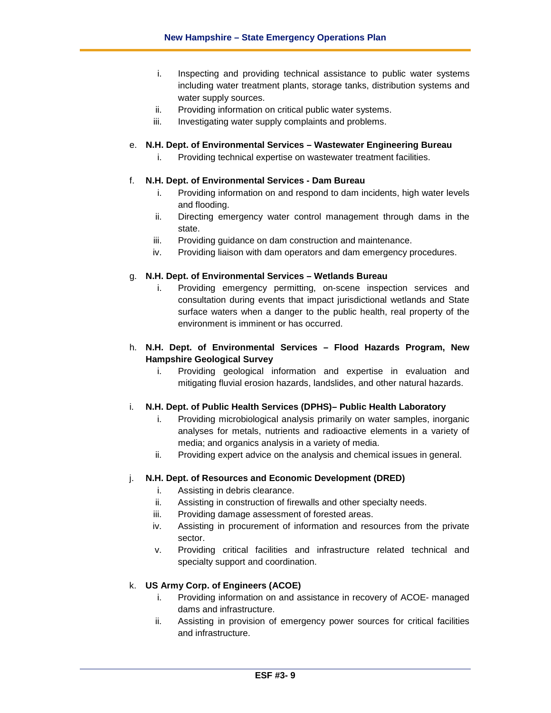- i. Inspecting and providing technical assistance to public water systems including water treatment plants, storage tanks, distribution systems and water supply sources.
- ii. Providing information on critical public water systems.
- iii. Investigating water supply complaints and problems.

#### e. **N.H. Dept. of Environmental Services – Wastewater Engineering Bureau**

i. Providing technical expertise on wastewater treatment facilities.

#### f. **N.H. Dept. of Environmental Services - Dam Bureau**

- i. Providing information on and respond to dam incidents, high water levels and flooding.
- ii. Directing emergency water control management through dams in the state.
- iii. Providing guidance on dam construction and maintenance.
- iv. Providing liaison with dam operators and dam emergency procedures.

#### g. **N.H. Dept. of Environmental Services – Wetlands Bureau**

- i. Providing emergency permitting, on-scene inspection services and consultation during events that impact jurisdictional wetlands and State surface waters when a danger to the public health, real property of the environment is imminent or has occurred.
- h. **N.H. Dept. of Environmental Services – Flood Hazards Program, New Hampshire Geological Survey** 
	- i. Providing geological information and expertise in evaluation and mitigating fluvial erosion hazards, landslides, and other natural hazards.

#### i. **N.H. Dept. of Public Health Services (DPHS)– Public Health Laboratory**

- i. Providing microbiological analysis primarily on water samples, inorganic analyses for metals, nutrients and radioactive elements in a variety of media; and organics analysis in a variety of media.
- ii. Providing expert advice on the analysis and chemical issues in general.

## j. **N.H. Dept. of Resources and Economic Development (DRED)**

- i. Assisting in debris clearance.
- ii. Assisting in construction of firewalls and other specialty needs.
- iii. Providing damage assessment of forested areas.
- iv. Assisting in procurement of information and resources from the private sector.
- v. Providing critical facilities and infrastructure related technical and specialty support and coordination.

## k. **US Army Corp. of Engineers (ACOE)**

- i. Providing information on and assistance in recovery of ACOE- managed dams and infrastructure.
- ii. Assisting in provision of emergency power sources for critical facilities and infrastructure.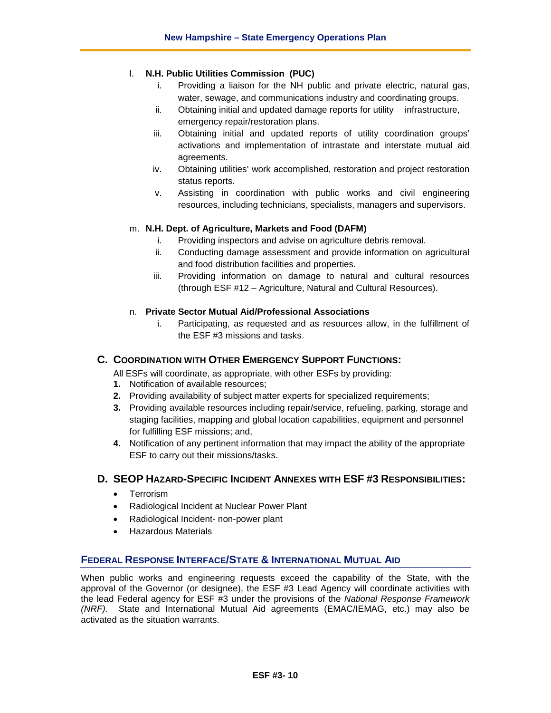## l. **N.H. Public Utilities Commission (PUC)**

- i. Providing a liaison for the NH public and private electric, natural gas, water, sewage, and communications industry and coordinating groups.
- ii. Obtaining initial and updated damage reports for utility infrastructure, emergency repair/restoration plans.
- iii. Obtaining initial and updated reports of utility coordination groups' activations and implementation of intrastate and interstate mutual aid agreements.
- iv. Obtaining utilities' work accomplished, restoration and project restoration status reports.
- v. Assisting in coordination with public works and civil engineering resources, including technicians, specialists, managers and supervisors.

## m. **N.H. Dept. of Agriculture, Markets and Food (DAFM)**

- i. Providing inspectors and advise on agriculture debris removal.
- ii. Conducting damage assessment and provide information on agricultural and food distribution facilities and properties.
- iii. Providing information on damage to natural and cultural resources (through ESF #12 – Agriculture, Natural and Cultural Resources).

## n. **Private Sector Mutual Aid/Professional Associations**

i. Participating, as requested and as resources allow, in the fulfillment of the ESF #3 missions and tasks.

## **C. COORDINATION WITH OTHER EMERGENCY SUPPORT FUNCTIONS:**

All ESFs will coordinate, as appropriate, with other ESFs by providing:

- **1.** Notification of available resources;
- **2.** Providing availability of subject matter experts for specialized requirements;
- **3.** Providing available resources including repair/service, refueling, parking, storage and staging facilities, mapping and global location capabilities, equipment and personnel for fulfilling ESF missions; and,
- **4.** Notification of any pertinent information that may impact the ability of the appropriate ESF to carry out their missions/tasks.

## **D. SEOP HAZARD-SPECIFIC INCIDENT ANNEXES WITH ESF #3 RESPONSIBILITIES:**

- Terrorism
- Radiological Incident at Nuclear Power Plant
- Radiological Incident- non-power plant
- Hazardous Materials

## **FEDERAL RESPONSE INTERFACE/STATE & INTERNATIONAL MUTUAL AID**

When public works and engineering requests exceed the capability of the State, with the approval of the Governor (or designee), the ESF #3 Lead Agency will coordinate activities with the lead Federal agency for ESF #3 under the provisions of the *National Response Framework (NRF).* State and International Mutual Aid agreements (EMAC/IEMAG, etc.) may also be activated as the situation warrants.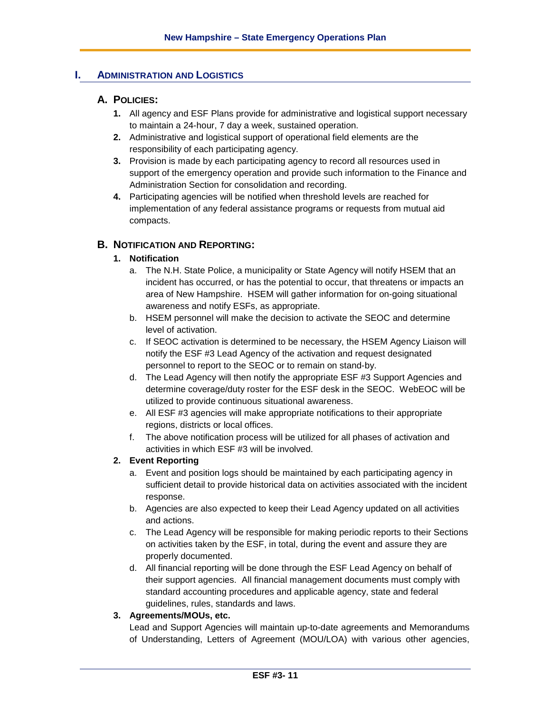## **I. ADMINISTRATION AND LOGISTICS**

## **A. POLICIES:**

- **1.** All agency and ESF Plans provide for administrative and logistical support necessary to maintain a 24-hour, 7 day a week, sustained operation.
- **2.** Administrative and logistical support of operational field elements are the responsibility of each participating agency.
- **3.** Provision is made by each participating agency to record all resources used in support of the emergency operation and provide such information to the Finance and Administration Section for consolidation and recording.
- **4.** Participating agencies will be notified when threshold levels are reached for implementation of any federal assistance programs or requests from mutual aid compacts.

## **B. NOTIFICATION AND REPORTING:**

## **1. Notification**

- a. The N.H. State Police, a municipality or State Agency will notify HSEM that an incident has occurred, or has the potential to occur, that threatens or impacts an area of New Hampshire. HSEM will gather information for on-going situational awareness and notify ESFs, as appropriate.
- b. HSEM personnel will make the decision to activate the SEOC and determine level of activation.
- c. If SEOC activation is determined to be necessary, the HSEM Agency Liaison will notify the ESF #3 Lead Agency of the activation and request designated personnel to report to the SEOC or to remain on stand-by.
- d. The Lead Agency will then notify the appropriate ESF #3 Support Agencies and determine coverage/duty roster for the ESF desk in the SEOC. WebEOC will be utilized to provide continuous situational awareness.
- e. All ESF #3 agencies will make appropriate notifications to their appropriate regions, districts or local offices.
- f. The above notification process will be utilized for all phases of activation and activities in which ESF #3 will be involved.

## **2. Event Reporting**

- a. Event and position logs should be maintained by each participating agency in sufficient detail to provide historical data on activities associated with the incident response.
- b. Agencies are also expected to keep their Lead Agency updated on all activities and actions.
- c. The Lead Agency will be responsible for making periodic reports to their Sections on activities taken by the ESF, in total, during the event and assure they are properly documented.
- d. All financial reporting will be done through the ESF Lead Agency on behalf of their support agencies. All financial management documents must comply with standard accounting procedures and applicable agency, state and federal guidelines, rules, standards and laws.

## **3. Agreements/MOUs, etc.**

Lead and Support Agencies will maintain up-to-date agreements and Memorandums of Understanding, Letters of Agreement (MOU/LOA) with various other agencies,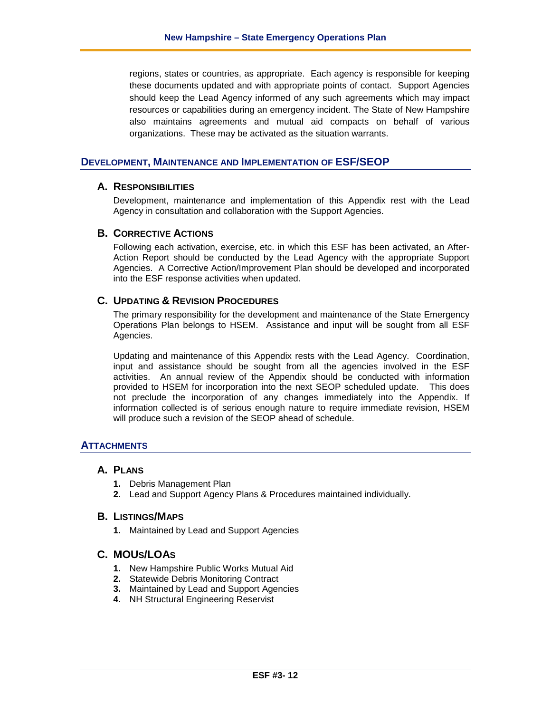regions, states or countries, as appropriate. Each agency is responsible for keeping these documents updated and with appropriate points of contact. Support Agencies should keep the Lead Agency informed of any such agreements which may impact resources or capabilities during an emergency incident. The State of New Hampshire also maintains agreements and mutual aid compacts on behalf of various organizations. These may be activated as the situation warrants.

## **DEVELOPMENT, MAINTENANCE AND IMPLEMENTATION OF ESF/SEOP**

#### **A. RESPONSIBILITIES**

Development, maintenance and implementation of this Appendix rest with the Lead Agency in consultation and collaboration with the Support Agencies.

## **B. CORRECTIVE ACTIONS**

Following each activation, exercise, etc. in which this ESF has been activated, an After-Action Report should be conducted by the Lead Agency with the appropriate Support Agencies. A Corrective Action/Improvement Plan should be developed and incorporated into the ESF response activities when updated.

## **C. UPDATING & REVISION PROCEDURES**

The primary responsibility for the development and maintenance of the State Emergency Operations Plan belongs to HSEM. Assistance and input will be sought from all ESF Agencies.

Updating and maintenance of this Appendix rests with the Lead Agency. Coordination, input and assistance should be sought from all the agencies involved in the ESF activities. An annual review of the Appendix should be conducted with information provided to HSEM for incorporation into the next SEOP scheduled update. This does not preclude the incorporation of any changes immediately into the Appendix. If information collected is of serious enough nature to require immediate revision, HSEM will produce such a revision of the SEOP ahead of schedule.

## **ATTACHMENTS**

## **A. PLANS**

- **1.** Debris Management Plan
- **2.** Lead and Support Agency Plans & Procedures maintained individually.

## **B. LISTINGS/MAPS**

**1.** Maintained by Lead and Support Agencies

## **C. MOUS/LOAS**

- **1.** New Hampshire Public Works Mutual Aid
- **2.** Statewide Debris Monitoring Contract
- **3.** Maintained by Lead and Support Agencies
- **4.** NH Structural Engineering Reservist